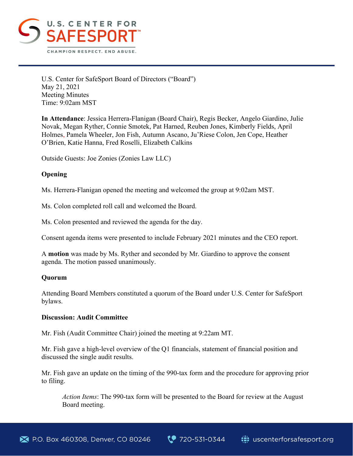

U.S. Center for SafeSport Board of Directors ("Board") May 21, 2021 Meeting Minutes Time: 9:02am MST

**In Attendance**: Jessica Herrera-Flanigan (Board Chair), Regis Becker, Angelo Giardino, Julie Novak, Megan Ryther, Connie Smotek, Pat Harned, Reuben Jones, Kimberly Fields, April Holmes, Pamela Wheeler, Jon Fish, Autumn Ascano, Ju'Riese Colon, Jen Cope, Heather O'Brien, Katie Hanna, Fred Roselli, Elizabeth Calkins

Outside Guests: Joe Zonies (Zonies Law LLC)

## **Opening**

Ms. Herrera-Flanigan opened the meeting and welcomed the group at 9:02am MST.

Ms. Colon completed roll call and welcomed the Board.

Ms. Colon presented and reviewed the agenda for the day.

Consent agenda items were presented to include February 2021 minutes and the CEO report.

A **motion** was made by Ms. Ryther and seconded by Mr. Giardino to approve the consent agenda. The motion passed unanimously.

### **Quorum**

Attending Board Members constituted a quorum of the Board under U.S. Center for SafeSport bylaws.

### **Discussion: Audit Committee**

Mr. Fish (Audit Committee Chair) joined the meeting at 9:22am MT.

Mr. Fish gave a high-level overview of the Q1 financials, statement of financial position and discussed the single audit results.

Mr. Fish gave an update on the timing of the 990-tax form and the procedure for approving prior to filing.

*Action Items*: The 990-tax form will be presented to the Board for review at the August Board meeting.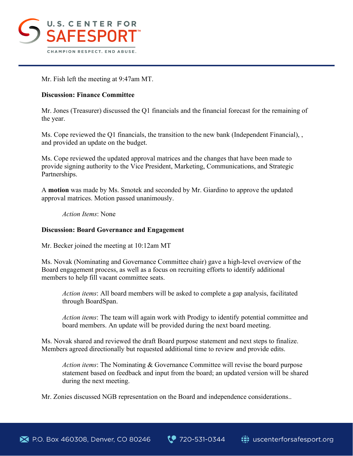

Mr. Fish left the meeting at 9:47am MT.

# **Discussion: Finance Committee**

Mr. Jones (Treasurer) discussed the Q1 financials and the financial forecast for the remaining of the year.

Ms. Cope reviewed the Q1 financials, the transition to the new bank (Independent Financial), , and provided an update on the budget.

Ms. Cope reviewed the updated approval matrices and the changes that have been made to provide signing authority to the Vice President, Marketing, Communications, and Strategic Partnerships.

A **motion** was made by Ms. Smotek and seconded by Mr. Giardino to approve the updated approval matrices. Motion passed unanimously.

*Action Items*: None

### **Discussion: Board Governance and Engagement**

Mr. Becker joined the meeting at 10:12am MT

Ms. Novak (Nominating and Governance Committee chair) gave a high-level overview of the Board engagement process, as well as a focus on recruiting efforts to identify additional members to help fill vacant committee seats.

*Action items*: All board members will be asked to complete a gap analysis, facilitated through BoardSpan.

*Action items*: The team will again work with Prodigy to identify potential committee and board members. An update will be provided during the next board meeting.

Ms. Novak shared and reviewed the draft Board purpose statement and next steps to finalize. Members agreed directionally but requested additional time to review and provide edits.

*Action items*: The Nominating & Governance Committee will revise the board purpose statement based on feedback and input from the board; an updated version will be shared during the next meeting.

Mr. Zonies discussed NGB representation on the Board and independence considerations..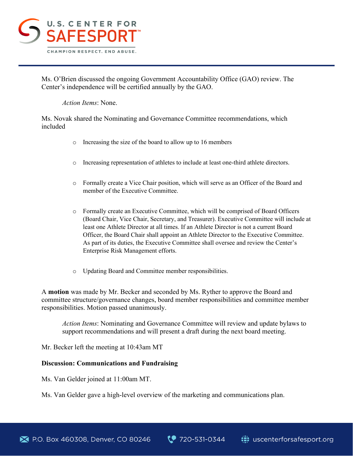

Ms. O'Brien discussed the ongoing Government Accountability Office (GAO) review. The Center's independence will be certified annually by the GAO.

### *Action Items*: None.

Ms. Novak shared the Nominating and Governance Committee recommendations, which included

- o Increasing the size of the board to allow up to 16 members
- o Increasing representation of athletes to include at least one-third athlete directors.
- o Formally create a Vice Chair position, which will serve as an Officer of the Board and member of the Executive Committee.
- o Formally create an Executive Committee, which will be comprised of Board Officers (Board Chair, Vice Chair, Secretary, and Treasurer). Executive Committee will include at least one Athlete Director at all times. If an Athlete Director is not a current Board Officer, the Board Chair shall appoint an Athlete Director to the Executive Committee. As part of its duties, the Executive Committee shall oversee and review the Center's Enterprise Risk Management efforts.
- o Updating Board and Committee member responsibilities.

A **motion** was made by Mr. Becker and seconded by Ms. Ryther to approve the Board and committee structure/governance changes, board member responsibilities and committee member responsibilities. Motion passed unanimously.

*Action Items*: Nominating and Governance Committee will review and update bylaws to support recommendations and will present a draft during the next board meeting.

Mr. Becker left the meeting at 10:43am MT

### **Discussion: Communications and Fundraising**

Ms. Van Gelder joined at 11:00am MT.

Ms. Van Gelder gave a high-level overview of the marketing and communications plan.